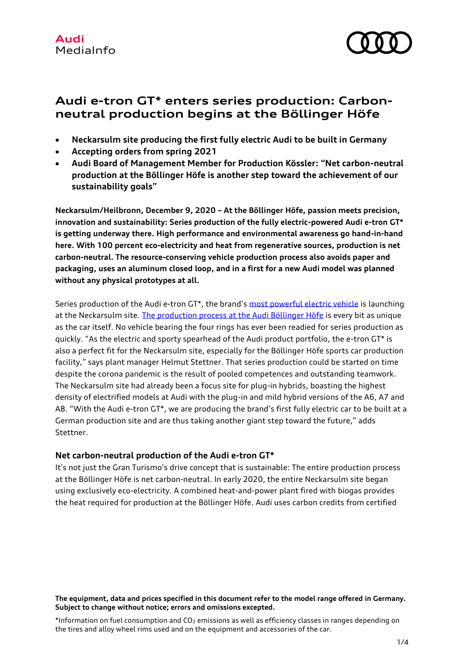

# **Audi e-tron GT\* enters series production: Carbonneutral production begins at the Böllinger Höfe**

- **Neckarsulm site producing the first fully electric Audi to be built in Germany**
- **Accepting orders from spring 2021**
- **Audi Board of Management Member for Production Kössler: "Net carbon-neutral production at the Böllinger Höfe is another step toward the achievement of our sustainability goals"**

**Neckarsulm/Heilbronn, December 9, 2020 – At the Böllinger Höfe, passion meets precision, innovation and sustainability: Series production of the fully electric-powered Audi e-tron GT\* is getting underway there. High performance and environmental awareness go hand-in-hand here. With 100 percent eco-electricity and heat from regenerative sources, production is net carbon-neutral. The resource-conserving vehicle production process also avoids paper and packaging, uses an aluminum closed loop, and in a first for a new Audi model was planned without any physical prototypes at all.**

Series production of the Audi e-tron GT\*, the brand's [most powerful electric vehicle](https://www.audi-mediacenter.com/en/presskits/spearheading-the-electric-offensivers-e-tron-gt-prototype-proves-its-mettle-in-initial-tests-13330) is launching at the Neckarsulm site. [The production process at the Audi Böllinger Höfe](https://www.audi-mediacenter.com/en/press-releases/passion-for-quality-and-progressivenessthe-new-audi-e-tron-gt-13258) is every bit as unique as the car itself. No vehicle bearing the four rings has ever been readied for series production as quickly. "As the electric and sporty spearhead of the Audi product portfolio, the e-tron GT\* is also a perfect fit for the Neckarsulm site, especially for the Böllinger Höfe sports car production facility," says plant manager Helmut Stettner. That series production could be started on time despite the corona pandemic is the result of pooled competences and outstanding teamwork. The Neckarsulm site had already been a focus site for plug-in hybrids, boasting the highest density of electrified models at Audi with the plug-in and mild hybrid versions of the A6, A7 and A8. "With the Audi e-tron GT\*, we are producing the brand's first fully electric car to be built at a German production site and are thus taking another giant step toward the future," adds Stettner.

# **Net carbon-neutral production of the Audi e-tron GT\***

It's not just the Gran Turismo's drive concept that is sustainable: The entire production process at the Böllinger Höfe is net carbon-neutral. In early 2020, the entire Neckarsulm site began using exclusively eco-electricity. A combined heat-and-power plant fired with biogas provides the heat required for production at the Böllinger Höfe. Audi uses carbon credits from certified

#### **The equipment, data and prices specified in this document refer to the model range offered in Germany. Subject to change without notice; errors and omissions excepted.**

\*Information on fuel consumption and  $CO<sub>2</sub>$  emissions as well as efficiency classes in ranges depending on the tires and alloy wheel rims used and on the equipment and accessories of the car.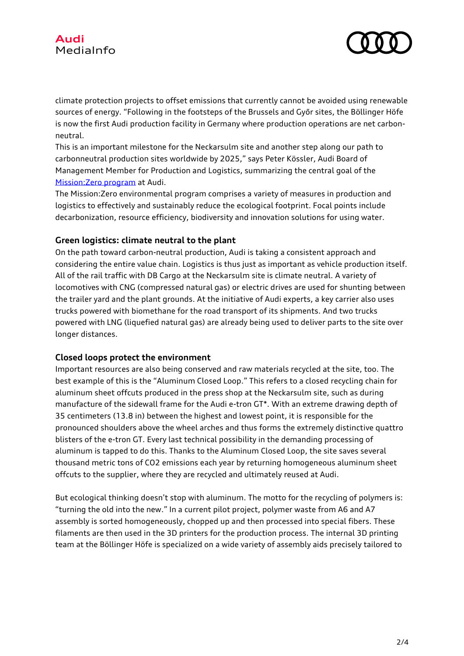

climate protection projects to offset emissions that currently cannot be avoided using renewable sources of energy. "Following in the footsteps of the Brussels and Győr sites, the Böllinger Höfe is now the first Audi production facility in Germany where production operations are net carbonneutral.

This is an important milestone for the Neckarsulm site and another step along our path to carbonneutral production sites worldwide by 2025," says Peter Kössler, Audi Board of Management Member for Production and Logistics, summarizing the central goal of the [Mission:Zero program](https://www.audi-mediacenter.com/en/press-releases/audi-on-the-road-toward-co2-neutral-production-sites-13356) at Audi.

The Mission:Zero environmental program comprises a variety of measures in production and logistics to effectively and sustainably reduce the ecological footprint. Focal points include decarbonization, resource efficiency, biodiversity and innovation solutions for using water.

## **Green logistics: climate neutral to the plant**

On the path toward carbon-neutral production, Audi is taking a consistent approach and considering the entire value chain. Logistics is thus just as important as vehicle production itself. All of the rail traffic with DB Cargo at the Neckarsulm site is climate neutral. A variety of locomotives with CNG (compressed natural gas) or electric drives are used for shunting between the trailer yard and the plant grounds. At the initiative of Audi experts, a key carrier also uses trucks powered with biomethane for the road transport of its shipments. And two trucks powered with LNG (liquefied natural gas) are already being used to deliver parts to the site over longer distances.

### **Closed loops protect the environment**

Important resources are also being conserved and raw materials recycled at the site, too. The best example of this is the "Aluminum Closed Loop." This refers to a closed recycling chain for aluminum sheet offcuts produced in the press shop at the Neckarsulm site, such as during manufacture of the sidewall frame for the Audi e-tron GT\*. With an extreme drawing depth of 35 centimeters (13.8 in) between the highest and lowest point, it is responsible for the pronounced shoulders above the wheel arches and thus forms the extremely distinctive quattro blisters of the e-tron GT. Every last technical possibility in the demanding processing of aluminum is tapped to do this. Thanks to the Aluminum Closed Loop, the site saves several thousand metric tons of CO2 emissions each year by returning homogeneous aluminum sheet offcuts to the supplier, where they are recycled and ultimately reused at Audi.

But ecological thinking doesn't stop with aluminum. The motto for the recycling of polymers is: "turning the old into the new." In a current pilot project, polymer waste from A6 and A7 assembly is sorted homogeneously, chopped up and then processed into special fibers. These filaments are then used in the 3D printers for the production process. The internal 3D printing team at the Böllinger Höfe is specialized on a wide variety of assembly aids precisely tailored to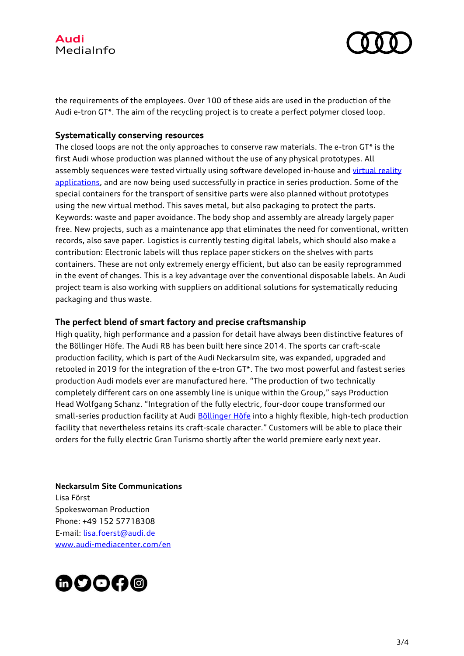



the requirements of the employees. Over 100 of these aids are used in the production of the Audi e-tron GT\*. The aim of the recycling project is to create a perfect polymer closed loop.

### **Systematically conserving resources**

The closed loops are not the only approaches to conserve raw materials. The e-tron GT\* is the first Audi whose production was planned without the use of any physical prototypes. All assembly sequences were tested virtually using software developed in-house and virtual reality [applications,](https://www.audi-mediacenter.com/en/press-releases/audi-tests-assembly-processes-for-the-e-tron-gt-entirely-virtually-11904) and are now being used successfully in practice in series production. Some of the special containers for the transport of sensitive parts were also planned without prototypes using the new virtual method. This saves metal, but also packaging to protect the parts. Keywords: waste and paper avoidance. The body shop and assembly are already largely paper free. New projects, such as a maintenance app that eliminates the need for conventional, written records, also save paper. Logistics is currently testing digital labels, which should also make a contribution: Electronic labels will thus replace paper stickers on the shelves with parts containers. These are not only extremely energy efficient, but also can be easily reprogrammed in the event of changes. This is a key advantage over the conventional disposable labels. An Audi project team is also working with suppliers on additional solutions for systematically reducing packaging and thus waste.

### **The perfect blend of smart factory and precise craftsmanship**

High quality, high performance and a passion for detail have always been distinctive features of the Böllinger Höfe. The Audi R8 has been built here since 2014. The sports car craft-scale production facility, which is part of the Audi Neckarsulm site, was expanded, upgraded and retooled in 2019 for the integration of the e-tron GT\*. The two most powerful and fastest series production Audi models ever are manufactured here. "The production of two technically completely different cars on one assembly line is unique within the Group," says Production Head Wolfgang Schanz. "Integration of the fully electric, four-door coupe transformed our small-series production facility at Audi [Böllinger Höfe](https://www.audi-mediacenter.com/en/press-releases/discover-the-production-of-the-audi-e-tron-gt-interactively-12944) into a highly flexible, high-tech production facility that nevertheless retains its craft-scale character." Customers will be able to place their orders for the fully electric Gran Turismo shortly after the world premiere early next year.

**Neckarsulm Site Communications**

Lisa Först Spokeswoman Production Phone: +49 152 57718308 E-mail: [lisa.foerst@audi.de](mailto:lisa.foerst@audi.de) [www.audi-mediacenter.com/en](https://www.audi-mediacenter.com/en)